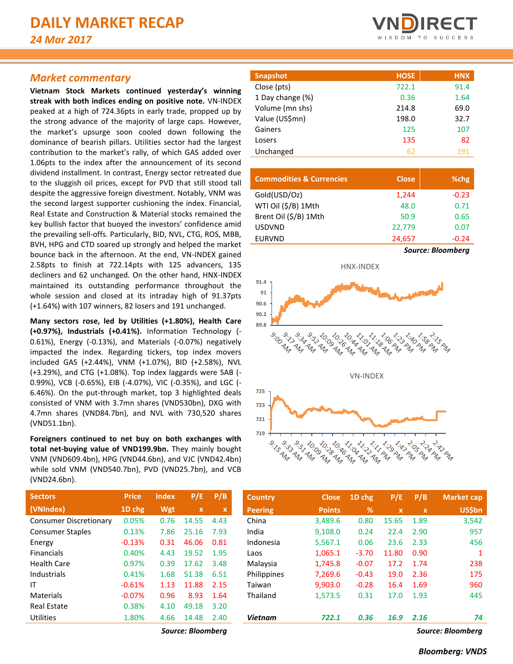## *Market commentary*

**Vietnam Stock Markets continued yesterday's winning streak with both indices ending on positive note.** VN-INDEX peaked at a high of 724.36pts in early trade, propped up by the strong advance of the majority of large caps. However, the market's upsurge soon cooled down following the dominance of bearish pillars. Utilities sector had the largest contribution to the market's rally, of which GAS added over 1.06pts to the index after the announcement of its second dividend installment. In contrast, Energy sector retreated due to the sluggish oil prices, except for PVD that still stood tall despite the aggressive foreign divestment. Notably, VNM was the second largest supporter cushioning the index. Financial, Real Estate and Construction & Material stocks remained the key bullish factor that buoyed the investors' confidence amid the prevailing sell-offs. Particularly, BID, NVL, CTG, ROS, MBB, BVH, HPG and CTD soared up strongly and helped the market bounce back in the afternoon. At the end, VN-INDEX gained 2.58pts to finish at 722.14pts with 125 advancers, 135 decliners and 62 unchanged. On the other hand, HNX-INDEX maintained its outstanding performance throughout the whole session and closed at its intraday high of 91.37pts (+1.64%) with 107 winners, 82 losers and 191 unchanged.

**Many sectors rose, led by Utilities (+1.80%), Health Care (+0.97%), Industrials (+0.41%).** Information Technology (- 0.61%), Energy (-0.13%), and Materials (-0.07%) negatively impacted the index. Regarding tickers, top index movers included GAS (+2.44%), VNM (+1.07%), BID (+2.58%), NVL (+3.29%), and CTG (+1.08%). Top index laggards were SAB (- 0.99%), VCB (-0.65%), EIB (-4.07%), VIC (-0.35%), and LGC (- 6.46%). On the put-through market, top 3 highlighted deals consisted of VNM with 3.7mn shares (VND530bn), DXG with 4.7mn shares (VND84.7bn), and NVL with 730,520 shares (VND51.1bn).

**Foreigners continued to net buy on both exchanges with total net-buying value of VND199.9bn.** They mainly bought VNM (VND609.4bn), HPG (VND44.6bn), and VJC (VND42.4bn) while sold VNM (VND540.7bn), PVD (VND25.7bn), and VCB (VND24.6bn).

| <b>Snapshot</b>  | <b>HOSE</b> | <b>HNX</b> |
|------------------|-------------|------------|
| Close (pts)      | 722.1       | 91.4       |
| 1 Day change (%) | 0.36        | 1.64       |
| Volume (mn shs)  | 214.8       | 69.0       |
| Value (US\$mn)   | 198.0       | 32.7       |
| Gainers          | 125         | 107        |
| Losers           | 135         | 82         |
| Unchanged        | 62          | 191        |

| <b>Commodities &amp; Currencies</b> | <b>Close</b> | %chg                     |
|-------------------------------------|--------------|--------------------------|
| Gold(USD/Oz)                        | 1,244        | $-0.23$                  |
| WTI Oil (\$/B) 1Mth                 | 48.0         | 0.71                     |
| Brent Oil (\$/B) 1Mth               | 50.9         | 0.65                     |
| <b>USDVND</b>                       | 22,779       | 0.07                     |
| <b>EURVND</b>                       | 24,657       | $-0.24$                  |
|                                     |              | <b>Source: Bloomberg</b> |



| <b>Sectors</b>                | <b>Price</b> | <b>Index</b> | P/E         | P/B  |
|-------------------------------|--------------|--------------|-------------|------|
| (VNIndex)                     | 1D chg       | <b>Wgt</b>   | $\mathbf x$ | x    |
| <b>Consumer Discretionary</b> | 0.05%        | 0.76         | 14.55       | 4.43 |
| <b>Consumer Staples</b>       | 0.13%        | 7.86         | 25.16       | 7.93 |
| Energy                        | $-0.13%$     | 0.31         | 46.06       | 0.81 |
| <b>Financials</b>             | 0.40%        | 4.43         | 19.52       | 1.95 |
| Health Care                   | 0.97%        | 0.39         | 17.62       | 3.48 |
| Industrials                   | 0.41%        | 1.68         | 51.38       | 6.51 |
| ΙT                            | $-0.61%$     | 1.13         | 11.88       | 2.15 |
| Materials                     | $-0.07%$     | 0.96         | 8.93        | 1.64 |
| <b>Real Estate</b>            | 0.38%        | 4.10         | 49.18       | 3.20 |
| <b>Utilities</b>              | 1.80%        | 4.66         | 14.48       | 2.40 |

*Source: Bloomberg Source: Bloomberg*

| <b>Sectors</b>                | <b>Price</b> | <b>Index</b> | P/E          | P/B         | <b>Country</b> | <b>Close</b>  | 1D chg        | P/E         | P/B         | <b>Market cap</b> |
|-------------------------------|--------------|--------------|--------------|-------------|----------------|---------------|---------------|-------------|-------------|-------------------|
| (VNIndex)                     | 1D chg       | Wgt          | $\mathbf{x}$ | $\mathbf x$ | <b>Peering</b> | <b>Points</b> | $\frac{9}{6}$ | $\mathbf x$ | $\mathbf x$ | <b>US\$bn</b>     |
| <b>Consumer Discretionary</b> | 0.05%        | 0.76         | 14.55        | 4.43        | China          | 3.489.6       | 0.80          | 15.65       | 1.89        | 3,542             |
| <b>Consumer Staples</b>       | 0.13%        | 7.86         | 25.16        | 7.93        | India          | 9,108.0       | 0.24          | 22.4        | 2.90        | 957               |
| Energy                        | $-0.13%$     | 0.31         | 46.06        | 0.81        | Indonesia      | 5,567.1       | 0.06          | 23.6        | 2.33        | 456               |
| <b>Financials</b>             | 0.40%        | 4.43         | 19.52        | 1.95        | Laos           | 1,065.1       | $-3.70$       | 11.80       | 0.90        |                   |
| Health Care                   | 0.97%        | 0.39         | 17.62        | 3.48        | Malaysia       | 1,745.8       | $-0.07$       | 17.2        | 1.74        | 238               |
| Industrials                   | 0.41%        | 1.68         | 51.38        | 6.51        | Philippines    | 7,269.6       | $-0.43$       | 19.0        | 2.36        | 175               |
| ΙT                            | $-0.61%$     | 1.13         | 11.88        | 2.15        | Taiwan         | 9.903.0       | $-0.28$       | 16.4        | 1.69        | 960               |
| <b>Materials</b>              | $-0.07%$     | 0.96         | 8.93         | 1.64        | Thailand       | 1,573.5       | 0.31          | 17.0        | 1.93        | 445               |
| <b>Real Estate</b>            | 0.38%        | 4.10         | 49.18        | 3.20        |                |               |               |             |             |                   |
| Utilities                     | 1.80%        | 4.66         | 14.48        | 2.40        | <b>Vietnam</b> | 722.1         | 0.36          | 16.9        | 2.16        | 74                |

#### *Bloomberg: VNDS*

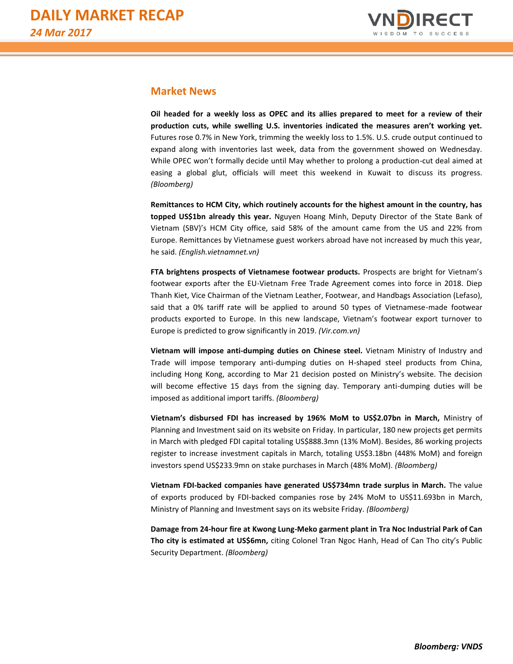

# **Market News**

**Oil headed for a weekly loss as OPEC and its allies prepared to meet for a review of their production cuts, while swelling U.S. inventories indicated the measures aren't working yet.** Futures rose 0.7% in New York, trimming the weekly loss to 1.5%. U.S. crude output continued to expand along with inventories last week, data from the government showed on Wednesday. While OPEC won't formally decide until May whether to prolong a production-cut deal aimed at easing a global glut, officials will meet this weekend in Kuwait to discuss its progress. *(Bloomberg)*

**Remittances to HCM City, which routinely accounts for the highest amount in the country, has topped US\$1bn already this year.** Nguyen Hoang Minh, Deputy Director of the State Bank of Vietnam (SBV)'s HCM City office, said 58% of the amount came from the US and 22% from Europe. Remittances by Vietnamese guest workers abroad have not increased by much this year, he said. *(English.vietnamnet.vn)*

**FTA brightens prospects of Vietnamese footwear products.** Prospects are bright for Vietnam's footwear exports after the EU-Vietnam Free Trade Agreement comes into force in 2018. Diep Thanh Kiet, Vice Chairman of the Vietnam Leather, Footwear, and Handbags Association (Lefaso), said that a 0% tariff rate will be applied to around 50 types of Vietnamese-made footwear products exported to Europe. In this new landscape, Vietnam's footwear export turnover to Europe is predicted to grow significantly in 2019. *(Vir.com.vn)*

**Vietnam will impose anti-dumping duties on Chinese steel.** Vietnam Ministry of Industry and Trade will impose temporary anti-dumping duties on H-shaped steel products from China, including Hong Kong, according to Mar 21 decision posted on Ministry's website. The decision will become effective 15 days from the signing day. Temporary anti-dumping duties will be imposed as additional import tariffs. *(Bloomberg)*

**Vietnam's disbursed FDI has increased by 196% MoM to US\$2.07bn in March,** Ministry of Planning and Investment said on its website on Friday. In particular, 180 new projects get permits in March with pledged FDI capital totaling US\$888.3mn (13% MoM). Besides, 86 working projects register to increase investment capitals in March, totaling US\$3.18bn (448% MoM) and foreign investors spend US\$233.9mn on stake purchases in March (48% MoM). *(Bloomberg)*

**Vietnam FDI-backed companies have generated US\$734mn trade surplus in March.** The value of exports produced by FDI-backed companies rose by 24% MoM to US\$11.693bn in March, Ministry of Planning and Investment says on its website Friday. *(Bloomberg)*

**Damage from 24-hour fire at Kwong Lung-Meko garment plant in Tra Noc Industrial Park of Can Tho city is estimated at US\$6mn,** citing Colonel Tran Ngoc Hanh, Head of Can Tho city's Public Security Department. *(Bloomberg)*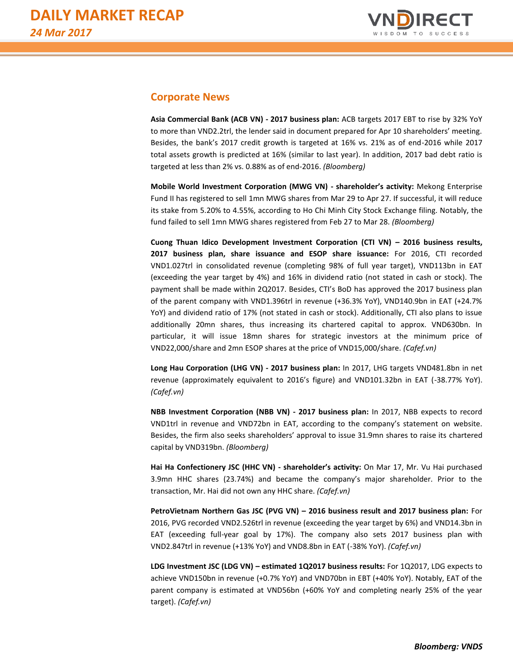

# **Corporate News**

**Asia Commercial Bank (ACB VN) - 2017 business plan:** ACB targets 2017 EBT to rise by 32% YoY to more than VND2.2trl, the lender said in document prepared for Apr 10 shareholders' meeting. Besides, the bank's 2017 credit growth is targeted at 16% vs. 21% as of end-2016 while 2017 total assets growth is predicted at 16% (similar to last year). In addition, 2017 bad debt ratio is targeted at less than 2% vs. 0.88% as of end-2016. *(Bloomberg)*

**Mobile World Investment Corporation (MWG VN) - shareholder's activity:** Mekong Enterprise Fund II has registered to sell 1mn MWG shares from Mar 29 to Apr 27. If successful, it will reduce its stake from 5.20% to 4.55%, according to Ho Chi Minh City Stock Exchange filing. Notably, the fund failed to sell 1mn MWG shares registered from Feb 27 to Mar 28. *(Bloomberg)*

**Cuong Thuan Idico Development Investment Corporation (CTI VN) – 2016 business results, 2017 business plan, share issuance and ESOP share issuance:** For 2016, CTI recorded VND1.027trl in consolidated revenue (completing 98% of full year target), VND113bn in EAT (exceeding the year target by 4%) and 16% in dividend ratio (not stated in cash or stock). The payment shall be made within 2Q2017. Besides, CTI's BoD has approved the 2017 business plan of the parent company with VND1.396trl in revenue (+36.3% YoY), VND140.9bn in EAT (+24.7% YoY) and dividend ratio of 17% (not stated in cash or stock). Additionally, CTI also plans to issue additionally 20mn shares, thus increasing its chartered capital to approx. VND630bn. In particular, it will issue 18mn shares for strategic investors at the minimum price of VND22,000/share and 2mn ESOP shares at the price of VND15,000/share. *(Cafef.vn)*

**Long Hau Corporation (LHG VN) - 2017 business plan:** In 2017, LHG targets VND481.8bn in net revenue (approximately equivalent to 2016's figure) and VND101.32bn in EAT (-38.77% YoY). *(Cafef.vn)*

**NBB Investment Corporation (NBB VN) - 2017 business plan:** In 2017, NBB expects to record VND1trl in revenue and VND72bn in EAT, according to the company's statement on website. Besides, the firm also seeks shareholders' approval to issue 31.9mn shares to raise its chartered capital by VND319bn. *(Bloomberg)*

**Hai Ha Confectionery JSC (HHC VN) - shareholder's activity:** On Mar 17, Mr. Vu Hai purchased 3.9mn HHC shares (23.74%) and became the company's major shareholder. Prior to the transaction, Mr. Hai did not own any HHC share. *(Cafef.vn)*

**PetroVietnam Northern Gas JSC (PVG VN) – 2016 business result and 2017 business plan:** For 2016, PVG recorded VND2.526trl in revenue (exceeding the year target by 6%) and VND14.3bn in EAT (exceeding full-year goal by 17%). The company also sets 2017 business plan with VND2.847trl in revenue (+13% YoY) and VND8.8bn in EAT (-38% YoY). *(Cafef.vn)*

**LDG Investment JSC (LDG VN) – estimated 1Q2017 business results:** For 1Q2017, LDG expects to achieve VND150bn in revenue (+0.7% YoY) and VND70bn in EBT (+40% YoY). Notably, EAT of the parent company is estimated at VND56bn (+60% YoY and completing nearly 25% of the year target). *(Cafef.vn)*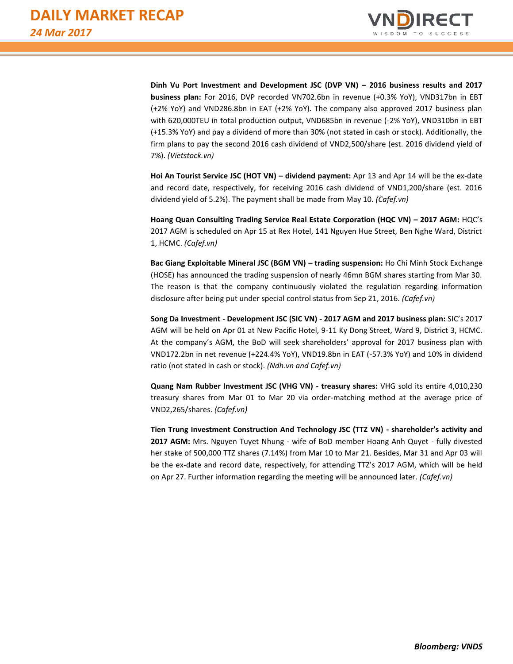

**Dinh Vu Port Investment and Development JSC (DVP VN) – 2016 business results and 2017 business plan:** For 2016, DVP recorded VN702.6bn in revenue (+0.3% YoY), VND317bn in EBT (+2% YoY) and VND286.8bn in EAT (+2% YoY). The company also approved 2017 business plan with 620,000TEU in total production output, VND685bn in revenue (-2% YoY), VND310bn in EBT (+15.3% YoY) and pay a dividend of more than 30% (not stated in cash or stock). Additionally, the firm plans to pay the second 2016 cash dividend of VND2,500/share (est. 2016 dividend yield of 7%). *(Vietstock.vn)*

**Hoi An Tourist Service JSC (HOT VN) – dividend payment:** Apr 13 and Apr 14 will be the ex-date and record date, respectively, for receiving 2016 cash dividend of VND1,200/share (est. 2016 dividend yield of 5.2%). The payment shall be made from May 10. *(Cafef.vn)*

**Hoang Quan Consulting Trading Service Real Estate Corporation (HQC VN) – 2017 AGM:** HQC's 2017 AGM is scheduled on Apr 15 at Rex Hotel, 141 Nguyen Hue Street, Ben Nghe Ward, District 1, HCMC. *(Cafef.vn)*

**Bac Giang Exploitable Mineral JSC (BGM VN) – trading suspension:** Ho Chi Minh Stock Exchange (HOSE) has announced the trading suspension of nearly 46mn BGM shares starting from Mar 30. The reason is that the company continuously violated the regulation regarding information disclosure after being put under special control status from Sep 21, 2016. *(Cafef.vn)*

**Song Da Investment - Development JSC (SIC VN) - 2017 AGM and 2017 business plan:** SIC's 2017 AGM will be held on Apr 01 at New Pacific Hotel, 9-11 Ky Dong Street, Ward 9, District 3, HCMC. At the company's AGM, the BoD will seek shareholders' approval for 2017 business plan with VND172.2bn in net revenue (+224.4% YoY), VND19.8bn in EAT (-57.3% YoY) and 10% in dividend ratio (not stated in cash or stock). *(Ndh.vn and Cafef.vn)*

**Quang Nam Rubber Investment JSC (VHG VN) - treasury shares:** VHG sold its entire 4,010,230 treasury shares from Mar 01 to Mar 20 via order-matching method at the average price of VND2,265/shares. *(Cafef.vn)*

**Tien Trung Investment Construction And Technology JSC (TTZ VN) - shareholder's activity and 2017 AGM:** Mrs. Nguyen Tuyet Nhung - wife of BoD member Hoang Anh Quyet - fully divested her stake of 500,000 TTZ shares (7.14%) from Mar 10 to Mar 21. Besides, Mar 31 and Apr 03 will be the ex-date and record date, respectively, for attending TTZ's 2017 AGM, which will be held on Apr 27. Further information regarding the meeting will be announced later. *(Cafef.vn)*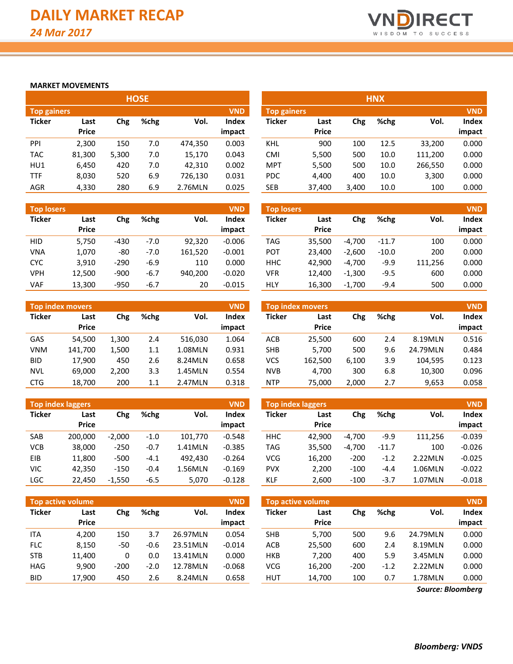

### **MARKET MOVEMENTS**

|                    |              |       | <b>HOSE</b> |         |              |                    |              |       | <b>HNX</b> |         |            |
|--------------------|--------------|-------|-------------|---------|--------------|--------------------|--------------|-------|------------|---------|------------|
| <b>Top gainers</b> |              |       |             |         | <b>VND</b>   | <b>Top gainers</b> |              |       |            |         | <b>VND</b> |
| <b>Ticker</b>      | Last         | Chg   | %chg        | Vol.    | <b>Index</b> | <b>Ticker</b>      | Last         | Chg   | %chg       | Vol.    | Index      |
|                    | <b>Price</b> |       |             |         | impact       |                    | <b>Price</b> |       |            |         | impact     |
| PPI                | 2,300        | 150   | 7.0         | 474,350 | 0.003        | KHL                | 900          | 100   | 12.5       | 33,200  | 0.000      |
| <b>TAC</b>         | 81,300       | 5,300 | 7.0         | 15,170  | 0.043        | CMI                | 5,500        | 500   | 10.0       | 111,200 | 0.000      |
| HU1                | 6,450        | 420   | 7.0         | 42,310  | 0.002        | <b>MPT</b>         | 5,500        | 500   | 10.0       | 266,550 | 0.000      |
| <b>TTF</b>         | 8,030        | 520   | 6.9         | 726,130 | 0.031        | <b>PDC</b>         | 4.400        | 400   | 10.0       | 3,300   | 0.000      |
| <b>AGR</b>         | 4,330        | 280   | 6.9         | 2.76MLN | 0.025        | <b>SEB</b>         | 37.400       | 3,400 | 10.0       | 100     | 0.000      |

| <b>Top losers</b> |              |        |        |         | <b>VND</b>   |
|-------------------|--------------|--------|--------|---------|--------------|
| <b>Ticker</b>     | Last         | Chg    | %chg   | Vol.    | <b>Index</b> |
|                   | <b>Price</b> |        |        |         | impact       |
| HID               | 5,750        | -430   | $-7.0$ | 92,320  | $-0.006$     |
| VNA               | 1,070        | -80    | $-7.0$ | 161,520 | $-0.001$     |
| <b>CYC</b>        | 3,910        | $-290$ | $-6.9$ | 110     | 0.000        |
| <b>VPH</b>        | 12,500       | $-900$ | $-6.7$ | 940,200 | $-0.020$     |
| VAF               | 13,300       | $-950$ | $-6.7$ | 20      | $-0.015$     |

|               | <b>Top index movers</b> |       |      |         | <b>VND</b> |
|---------------|-------------------------|-------|------|---------|------------|
| <b>Ticker</b> | Last                    | Chg   | %chg | Vol.    | Index      |
|               | <b>Price</b>            |       |      |         | impact     |
| GAS           | 54,500                  | 1,300 | 2.4  | 516,030 | 1.064      |
| <b>VNM</b>    | 141,700                 | 1,500 | 1.1  | 1.08MLN | 0.931      |
| BID           | 17,900                  | 450   | 2.6  | 8.24MLN | 0.658      |
| NVL           | 69,000                  | 2,200 | 3.3  | 1.45MLN | 0.554      |
| CTG           | 18,700                  | 200   | 1.1  | 2.47MLN | 0.318      |

| <b>Top index laggers</b> | <b>VND</b>   |          |        |         |              |
|--------------------------|--------------|----------|--------|---------|--------------|
| <b>Ticker</b>            | Last         | Chg      | %chg   | Vol.    | <b>Index</b> |
|                          | <b>Price</b> |          |        |         | impact       |
| SAB                      | 200,000      | $-2,000$ | $-1.0$ | 101,770 | $-0.548$     |
| <b>VCB</b>               | 38,000       | $-250$   | $-0.7$ | 1.41MLN | $-0.385$     |
| FIB                      | 11,800       | $-500$   | $-4.1$ | 492.430 | $-0.264$     |
| VIC                      | 42,350       | $-150$   | $-0.4$ | 1.56MLN | $-0.169$     |
| LGC                      | 22,450       | $-1,550$ | $-6.5$ | 5,070   | $-0.128$     |

|                    |              |       | HUSE |         |              |                    |              |       | HNX  |         |            |
|--------------------|--------------|-------|------|---------|--------------|--------------------|--------------|-------|------|---------|------------|
| <b>Top gainers</b> |              |       |      |         | <b>VND</b>   | <b>Top gainers</b> |              |       |      |         | <b>VND</b> |
| Ticker             | Last         | Chg   | %chg | Vol.    | <b>Index</b> | Ticker             | Last         | Chg   | %chg | Vol.    | Index      |
|                    | <b>Price</b> |       |      |         | impact       |                    | <b>Price</b> |       |      |         | impact     |
| PPI                | 2,300        | 150   | 7.0  | 474.350 | 0.003        | KHL                | 900          | 100   | 12.5 | 33,200  | 0.000      |
| TAC                | 81,300       | 5.300 | 7.0  | 15,170  | 0.043        | CMI                | 5,500        | 500   | 10.0 | 111,200 | 0.000      |
| HU1                | 6,450        | 420   | 7.0  | 42,310  | 0.002        | <b>MPT</b>         | 5,500        | 500   | 10.0 | 266,550 | 0.000      |
| TTF                | 8,030        | 520   | 6.9  | 726,130 | 0.031        | <b>PDC</b>         | 4,400        | 400   | 10.0 | 3,300   | 0.000      |
| AGR                | 4.330        | 280   | 6.9  | 2.76MLN | 0.025        | <b>SEB</b>         | 37.400       | 3.400 | 10.0 | 100     | 0.000      |

| <b>Top losers</b> |                      |        |        |         | <b>VND</b>      | <b>Top losers</b> |                      |          |         |         | <b>VND</b>      |
|-------------------|----------------------|--------|--------|---------|-----------------|-------------------|----------------------|----------|---------|---------|-----------------|
| Ticker            | Last<br><b>Price</b> | Chg    | %chg   | Vol.    | Index<br>impact | <b>Ticker</b>     | Last<br><b>Price</b> | Chg      | %chg    | Vol.    | Index<br>impact |
| HID.              | 5,750                | $-430$ | $-7.0$ | 92.320  | $-0.006$        | <b>TAG</b>        | 35.500               | $-4.700$ | $-11.7$ | 100     | 0.000           |
| VNA               | 1,070                | $-80$  | $-7.0$ | 161,520 | $-0.001$        | POT               | 23.400               | $-2.600$ | $-10.0$ | 200     | 0.000           |
| <b>CYC</b>        | 3,910                | $-290$ | $-6.9$ | 110     | 0.000           | <b>HHC</b>        | 42.900               | $-4.700$ | $-9.9$  | 111,256 | 0.000           |
| VPH               | 12,500               | $-900$ | $-6.7$ | 940.200 | $-0.020$        | VFR               | 12.400               | $-1.300$ | $-9.5$  | 600     | 0.000           |
| VAF               | 13,300               | $-950$ | $-6.7$ | 20      | $-0.015$        | <b>HLY</b>        | 16,300               | $-1.700$ | $-9.4$  | 500     | 0.000           |

|            | Top index movers |       |      |         | <b>VND</b>   |            | <b>Top index movers</b> |       |      |          | <b>VND</b> |
|------------|------------------|-------|------|---------|--------------|------------|-------------------------|-------|------|----------|------------|
| Ticker     | Last             | Chg   | %chg | Vol.    | <b>Index</b> | Ticker     | Last                    | Chg   | %chg | Vol.     | Index      |
|            | <b>Price</b>     |       |      |         | impact       |            | <b>Price</b>            |       |      |          | impact     |
| GAS        | 54.500           | 1.300 | 2.4  | 516.030 | 1.064        | <b>ACB</b> | 25.500                  | 600   | 2.4  | 8.19MLN  | 0.516      |
| VNM        | 141.700          | 1.500 | 1.1  | 1.08MLN | 0.931        | SHB        | 5.700                   | 500   | 9.6  | 24.79MLN | 0.484      |
| <b>BID</b> | 17.900           | 450   | 2.6  | 8.24MLN | 0.658        | VCS        | 162.500                 | 6.100 | 3.9  | 104,595  | 0.123      |
| NVL        | 69.000           | 2.200 | 3.3  | 1.45MLN | 0.554        | <b>NVB</b> | 4.700                   | 300   | 6.8  | 10,300   | 0.096      |
| <b>CTG</b> | 18,700           | 200   | 1.1  | 2.47MLN | 0.318        | <b>NTP</b> | 75,000                  | 2.000 | 2.7  | 9,653    | 0.058      |

|        | <b>Top index laggers</b> |          |        |         | <b>VND</b>      | Top index laggers |                      |          |         |         | <b>VND</b>      |
|--------|--------------------------|----------|--------|---------|-----------------|-------------------|----------------------|----------|---------|---------|-----------------|
| Ticker | Last<br><b>Price</b>     | Chg      | %chg   | Vol.    | Index<br>impact | Ticker            | Last<br><b>Price</b> | Chg      | %chg    | Vol.    | Index<br>impact |
| SAB    | 200.000                  | $-2.000$ | $-1.0$ | 101,770 | $-0.548$        | <b>HHC</b>        | 42.900               | $-4.700$ | $-9.9$  | 111,256 | $-0.039$        |
| VCB    | 38,000                   | $-250$   | $-0.7$ | 1.41MLN | $-0.385$        | <b>TAG</b>        | 35.500               | $-4.700$ | $-11.7$ | 100     | $-0.026$        |
| EIB    | 11,800                   | $-500$   | $-4.1$ | 492.430 | $-0.264$        | <b>VCG</b>        | 16.200               | $-200$   | $-1.2$  | 2.22MLN | $-0.025$        |
| VIC    | 42,350                   | $-150$   | $-0.4$ | 1.56MLN | $-0.169$        | <b>PVX</b>        | 2,200                | $-100$   | $-4.4$  | 1.06MLN | $-0.022$        |
| LGC    | 22,450                   | $-1,550$ | $-6.5$ | 5,070   | $-0.128$        | <b>KLF</b>        | 2,600                | $-100$   | $-3.7$  | 1.07MLN | $-0.018$        |

| Top active volume |                      |        |        |          | <b>VND</b>      | <b>VND</b><br>Top active volume |                      |        |        |          |                        |  |  |
|-------------------|----------------------|--------|--------|----------|-----------------|---------------------------------|----------------------|--------|--------|----------|------------------------|--|--|
| <b>Ticker</b>     | Last<br><b>Price</b> | Chg    | %chg   | Vol.     |                 | <b>Ticker</b>                   | Last<br><b>Price</b> | Chg    | %chg   | Vol.     | <b>Index</b><br>impact |  |  |
| <b>ITA</b>        | 4,200                | 150    | 3.7    | 26.97MLN | impact<br>0.054 | <b>SHB</b>                      | 5,700                | 500    | 9.6    | 24.79MLN | 0.000                  |  |  |
| <b>FLC</b>        | 8.150                | -50    | $-0.6$ | 23.51MLN | $-0.014$        | <b>ACB</b>                      | 25,500               | 600    | 2.4    | 8.19MLN  | 0.000                  |  |  |
| <b>STB</b>        | 11.400               | 0      | 0.0    | 13.41MLN | 0.000           | <b>HKB</b>                      | 7.200                | 400    | 5.9    | 3.45MLN  | 0.000                  |  |  |
| <b>HAG</b>        | 9.900                | $-200$ | $-2.0$ | 12.78MLN | $-0.068$        | VCG                             | 16,200               | $-200$ | $-1.2$ | 2.22MLN  | 0.000                  |  |  |
| <b>BID</b>        | 17,900               | 450    | 2.6    | 8.24MLN  | 0.658           | <b>HUT</b>                      | 14,700               | 100    | 0.7    | 1.78MLN  | 0.000                  |  |  |

*Source: Bloomberg*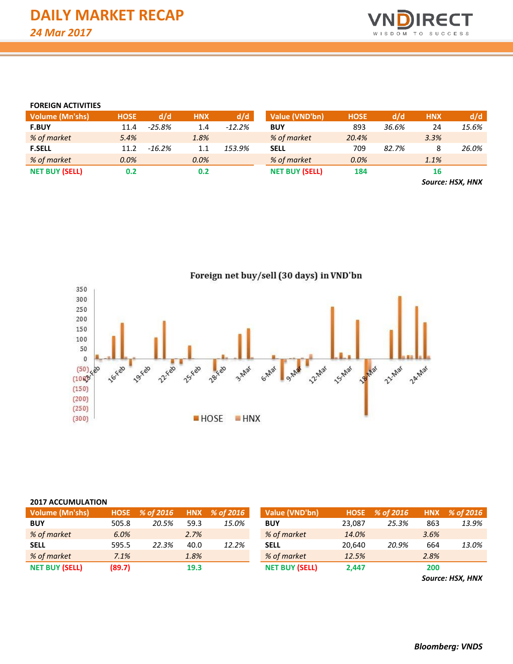

#### **FOREIGN ACTIVITIES**

| <b>Volume (Mn'shs)</b> | <b>HOSE</b> | d/d       | <b>HNX</b> | d/d      | Value (VND'bn)        | <b>HOSE</b> | d/d   | <b>HNX</b> | d/d                                                                                 |
|------------------------|-------------|-----------|------------|----------|-----------------------|-------------|-------|------------|-------------------------------------------------------------------------------------|
| <b>F.BUY</b>           | 11.4        | $-25.8%$  | 1.4        | $-12.2%$ | <b>BUY</b>            | 893         | 36.6% | 24         | 15.6%                                                                               |
| % of market            | 5.4%        |           | 1.8%       |          | % of market           | 20.4%       |       | 3.3%       |                                                                                     |
| <b>F.SELL</b>          | 11.2        | $-16.2\%$ | 1.1        | 153.9%   | <b>SELL</b>           | 709         | 82.7% |            | 26.0%                                                                               |
| % of market            | $0.0\%$     |           | 0.0%       |          | % of market           | 0.0%        |       | 1.1%       |                                                                                     |
| <b>NET BUY (SELL)</b>  | 0.2         |           | 0.2        |          | <b>NET BUY (SELL)</b> | 184         |       | 16         |                                                                                     |
|                        |             |           |            |          |                       |             |       |            | $C_{\text{max}}$ , $\mathbf{H}$ $\mathbf{C}$ $\mathbf{V}$ $\mathbf{H}$ $\mathbf{H}$ |

*Source: HSX, HNX*



| <b>Volume (Mn'shs)</b> | <b>HOSE</b> | % of 2016 |      | HNX % of 2016 | Value (VND'bn)        | <b>HOSE</b> | % of 2016 | <b>HNX</b> | % of 2016 |
|------------------------|-------------|-----------|------|---------------|-----------------------|-------------|-----------|------------|-----------|
| <b>BUY</b>             | 505.8       | 20.5%     | 59.3 | 15.0%         | <b>BUY</b>            | 23,087      | 25.3%     | 863        |           |
| % of market            | 6.0%        |           | 2.7% |               | % of market           | 14.0%       |           | 3.6%       |           |
| <b>SELL</b>            | 595.5       | 22.3%     | 40.0 | 12.2%         | <b>SELL</b>           | 20.640      | 20.9%     | 664        |           |
| % of market            | 7.1%        |           | 1.8% |               | % of market           | 12.5%       |           | 2.8%       |           |
| <b>NET BUY (SELL)</b>  | (89.7)      |           | 19.3 |               | <b>NET BUY (SELL)</b> | 2,447       |           | 200        |           |

*Source: HSX, HNX*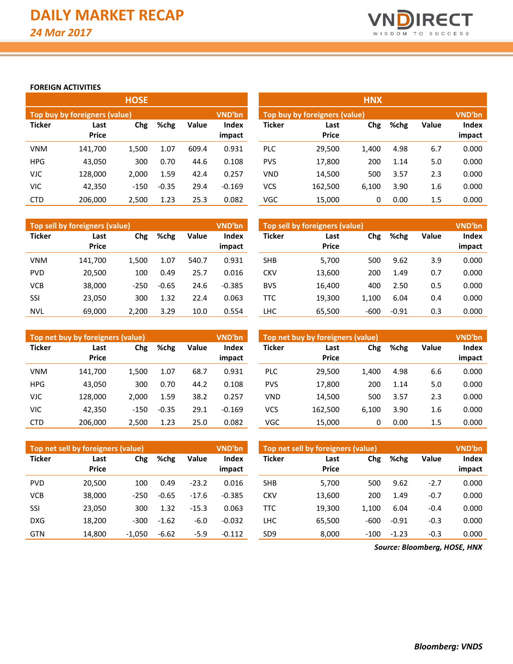

#### **FOREIGN ACTIVITIES**

|               |                               | <b>HOSE</b> |         |       |                        | <b>HNX</b>    |                                                |       |      |       |                 |  |  |  |
|---------------|-------------------------------|-------------|---------|-------|------------------------|---------------|------------------------------------------------|-------|------|-------|-----------------|--|--|--|
|               | Top buy by foreigners (value) |             |         |       | <b>VND'bn</b>          |               | <b>VND'bn</b><br>Top buy by foreigners (value) |       |      |       |                 |  |  |  |
| <b>Ticker</b> | Last<br><b>Price</b>          | Chg         | %chg    | Value | <b>Index</b><br>impact | <b>Ticker</b> | Last<br><b>Price</b>                           | Chg   | %chg | Value | Index<br>impact |  |  |  |
| <b>VNM</b>    | 141,700                       | 1,500       | 1.07    | 609.4 | 0.931                  | <b>PLC</b>    | 29,500                                         | 1,400 | 4.98 | 6.7   | 0.000           |  |  |  |
| <b>HPG</b>    | 43,050                        | 300         | 0.70    | 44.6  | 0.108                  | <b>PVS</b>    | 17,800                                         | 200   | 1.14 | 5.0   | 0.000           |  |  |  |
| <b>VJC</b>    | 128,000                       | 2,000       | 1.59    | 42.4  | 0.257                  | <b>VND</b>    | 14,500                                         | 500   | 3.57 | 2.3   | 0.000           |  |  |  |
| <b>VIC</b>    | 42,350                        | $-150$      | $-0.35$ | 29.4  | $-0.169$               | <b>VCS</b>    | 162,500                                        | 6,100 | 3.90 | 1.6   | 0.000           |  |  |  |
| <b>CTD</b>    | 206,000                       | 2,500       | 1.23    | 25.3  | 0.082                  | <b>VGC</b>    | 15,000                                         | 0     | 0.00 | 1.5   | 0.000           |  |  |  |

|               | Top sell by foreigners (value) |             |         |                                 | VND'bn   | Top sell by foreigners (value) |                      |        |         |              |                 |
|---------------|--------------------------------|-------------|---------|---------------------------------|----------|--------------------------------|----------------------|--------|---------|--------------|-----------------|
| <b>Ticker</b> | Last<br><b>Price</b>           | Chg<br>%chg |         | Value<br><b>Index</b><br>impact |          | <b>Ticker</b>                  | Last<br><b>Price</b> | Chg    | %chg    | <b>Value</b> | Index<br>impact |
| <b>VNM</b>    | 141.700                        | 1,500       | 1.07    | 540.7                           | 0.931    | <b>SHB</b>                     | 5,700                | 500    | 9.62    | 3.9          | 0.000           |
| <b>PVD</b>    | 20.500                         | 100         | 0.49    | 25.7                            | 0.016    | <b>CKV</b>                     | 13,600               | 200    | 1.49    | 0.7          | 0.000           |
| <b>VCB</b>    | 38,000                         | $-250$      | $-0.65$ | 24.6                            | $-0.385$ | <b>BVS</b>                     | 16,400               | 400    | 2.50    | 0.5          | 0.000           |
| SSI           | 23,050                         | 300         | 1.32    | 22.4                            | 0.063    | TTC                            | 19.300               | 1.100  | 6.04    | 0.4          | 0.000           |
| NVL           | 69.000                         | 2.200       | 3.29    | 10.0                            | 0.554    | LHC                            | 65.500               | $-600$ | $-0.91$ | 0.3          | 0.000           |

|               | Top net buy by foreigners (value) |             |         |       | <b>VND'bn</b>          | Top net buy by foreigners (value) | <b>VND'bn</b>        |       |      |              |                 |
|---------------|-----------------------------------|-------------|---------|-------|------------------------|-----------------------------------|----------------------|-------|------|--------------|-----------------|
| <b>Ticker</b> | Last<br><b>Price</b>              | Chg<br>%chg |         | Value | <b>Index</b><br>impact | <b>Ticker</b>                     | Last<br><b>Price</b> | Chg   | %chg | <b>Value</b> | Index<br>impact |
| <b>VNM</b>    | 141.700                           | 1.500       | 1.07    | 68.7  | 0.931                  | <b>PLC</b>                        | 29.500               | 1,400 | 4.98 | 6.6          | 0.000           |
| <b>HPG</b>    | 43,050                            | 300         | 0.70    | 44.2  | 0.108                  | <b>PVS</b>                        | 17,800               | 200   | 1.14 | 5.0          | 0.000           |
| <b>VJC</b>    | 128.000                           | 2.000       | 1.59    | 38.2  | 0.257                  | <b>VND</b>                        | 14,500               | 500   | 3.57 | 2.3          | 0.000           |
| <b>VIC</b>    | 42.350                            | $-150$      | $-0.35$ | 29.1  | $-0.169$               | <b>VCS</b>                        | 162.500              | 6.100 | 3.90 | 1.6          | 0.000           |
| <b>CTD</b>    | 206.000                           | 2.500       | 1.23    | 25.0  | 0.082                  | VGC                               | 15,000               | 0     | 0.00 | 1.5          | 0.000           |

|               | Top net sell by foreigners (value) |          |         |         | <b>VND'bn</b> | Top net sell by foreigners (value) | <b>VND'bn</b>        |        |         |              |        |
|---------------|------------------------------------|----------|---------|---------|---------------|------------------------------------|----------------------|--------|---------|--------------|--------|
| <b>Ticker</b> | Last<br><b>Price</b>               | Chg      | %chg    | Value   | <b>Index</b>  | <b>Ticker</b>                      | Last<br><b>Price</b> | Chg    | %chg    | <b>Value</b> | Index  |
|               |                                    |          |         |         | impact        |                                    |                      |        |         |              | impact |
| <b>PVD</b>    | 20.500                             | 100      | 0.49    | $-23.2$ | 0.016         | <b>SHB</b>                         | 5,700                | 500    | 9.62    | $-2.7$       | 0.000  |
| <b>VCB</b>    | 38,000                             | $-250$   | $-0.65$ | $-17.6$ | $-0.385$      | CKV                                | 13,600               | 200    | 1.49    | $-0.7$       | 0.000  |
| SSI           | 23,050                             | 300      | 1.32    | $-15.3$ | 0.063         | TTC                                | 19.300               | 1.100  | 6.04    | $-0.4$       | 0.000  |
| <b>DXG</b>    | 18.200                             | $-300$   | $-1.62$ | $-6.0$  | $-0.032$      | LHC                                | 65.500               | $-600$ | $-0.91$ | $-0.3$       | 0.000  |
| <b>GTN</b>    | 14,800                             | $-1,050$ | $-6.62$ | $-5.9$  | $-0.112$      | SD9                                | 8,000                | $-100$ | $-1.23$ | $-0.3$       | 0.000  |

*Source: Bloomberg, HOSE, HNX*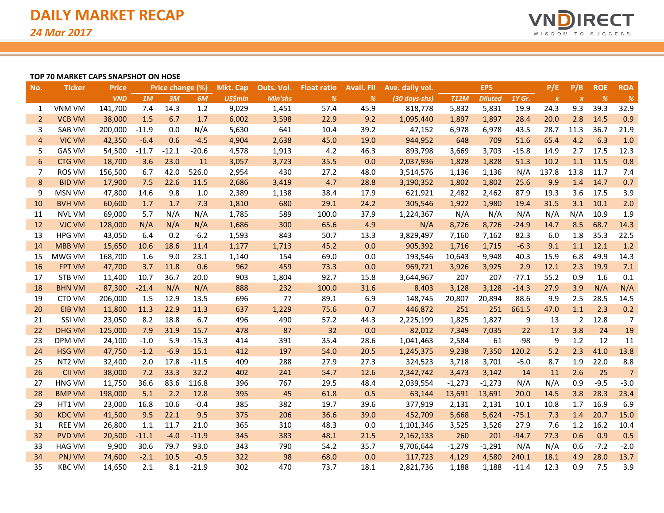

### **TOP 70 MARKET CAPS SNAPSHOT ON HOSE**

| No.            | <b>Ticker</b> | <b>Price</b> |         | Price change (%) |         | <b>Mkt. Cap</b> | Outs. Vol. | <b>Float ratio</b> | <b>Avail. FII</b> | Ave. daily vol. |             | <b>EPS</b>     |         | P/E              | P/B              | <b>ROE</b> | <b>ROA</b>     |
|----------------|---------------|--------------|---------|------------------|---------|-----------------|------------|--------------------|-------------------|-----------------|-------------|----------------|---------|------------------|------------------|------------|----------------|
|                |               | <b>VND</b>   | 1M      | 3M               | 6M      | <b>US\$mln</b>  | Mln'shs    | $\%$               | %                 | (30 days-shs)   | <b>T12M</b> | <b>Diluted</b> | 1Y Gr.  | $\boldsymbol{x}$ | $\boldsymbol{x}$ | $\%$       | $\%$           |
| 1              | <b>VNM VM</b> | 141,700      | 7.4     | 14.3             | 1.2     | 9,029           | 1,451      | 57.4               | 45.9              | 818,778         | 5,832       | 5,831          | 19.9    | 24.3             | 9.3              | 39.3       | 32.9           |
| $\overline{2}$ | <b>VCB VM</b> | 38,000       | 1.5     | 6.7              | 1.7     | 6,002           | 3,598      | 22.9               | 9.2               | 1,095,440       | 1,897       | 1,897          | 28.4    | 20.0             | 2.8              | 14.5       | 0.9            |
| 3              | SAB VM        | 200,000      | $-11.9$ | 0.0              | N/A     | 5,630           | 641        | 10.4               | 39.2              | 47,152          | 6,978       | 6,978          | 43.5    | 28.7             | 11.3             | 36.7       | 21.9           |
| $\overline{4}$ | <b>VIC VM</b> | 42,350       | $-6.4$  | 0.6              | $-4.5$  | 4,904           | 2,638      | 45.0               | 19.0              | 944,952         | 648         | 709            | 51.6    | 65.4             | 4.2              | 6.3        | 1.0            |
| 5              | <b>GAS VM</b> | 54,500       | $-11.7$ | $-12.1$          | $-20.6$ | 4,578           | 1,913      | 4.2                | 46.3              | 893,798         | 3,669       | 3,703          | $-15.8$ | 14.9             | 2.7              | 17.5       | 12.3           |
| 6              | <b>CTG VM</b> | 18,700       | 3.6     | 23.0             | 11      | 3,057           | 3,723      | 35.5               | 0.0               | 2,037,936       | 1,828       | 1,828          | 51.3    | 10.2             | 1.1              | 11.5       | 0.8            |
| 7              | <b>ROS VM</b> | 156,500      | 6.7     | 42.0             | 526.0   | 2,954           | 430        | 27.2               | 48.0              | 3,514,576       | 1,136       | 1,136          | N/A     | 137.8            | 13.8             | 11.7       | 7.4            |
| 8              | <b>BID VM</b> | 17,900       | 7.5     | 22.6             | 11.5    | 2,686           | 3,419      | 4.7                | 28.8              | 3,190,352       | 1,802       | 1,802          | 25.6    | 9.9              | 1.4              | 14.7       | 0.7            |
| 9              | <b>MSN VM</b> | 47,800       | 14.6    | 9.8              | 1.0     | 2,389           | 1,138      | 38.4               | 17.9              | 621,921         | 2,482       | 2,462          | 87.9    | 19.3             | 3.6              | 17.5       | 3.9            |
| 10             | <b>BVH VM</b> | 60,600       | 1.7     | 1.7              | $-7.3$  | 1,810           | 680        | 29.1               | 24.2              | 305,546         | 1,922       | 1,980          | 19.4    | 31.5             | 3.1              | 10.1       | 2.0            |
| 11             | <b>NVL VM</b> | 69,000       | 5.7     | N/A              | N/A     | 1,785           | 589        | 100.0              | 37.9              | 1,224,367       | N/A         | N/A            | N/A     | N/A              | N/A              | 10.9       | 1.9            |
| 12             | <b>VJC VM</b> | 128,000      | N/A     | N/A              | N/A     | 1,686           | 300        | 65.6               | 4.9               | N/A             | 8,726       | 8,726          | $-24.9$ | 14.7             | 8.5              | 68.7       | 14.3           |
| 13             | <b>HPG VM</b> | 43,050       | 6.4     | 0.2              | $-6.2$  | 1,593           | 843        | 50.7               | 13.3              | 3,829,497       | 7,160       | 7,162          | 82.3    | 6.0              | 1.8              | 35.3       | 22.5           |
| 14             | <b>MBB VM</b> | 15,650       | 10.6    | 18.6             | 11.4    | 1,177           | 1,713      | 45.2               | 0.0               | 905,392         | 1,716       | 1,715          | $-6.3$  | 9.1              | 1.1              | 12.1       | 1.2            |
| 15             | MWG VM        | 168,700      | 1.6     | 9.0              | 23.1    | 1,140           | 154        | 69.0               | 0.0               | 193,546         | 10,643      | 9,948          | 40.3    | 15.9             | 6.8              | 49.9       | 14.3           |
| 16             | <b>FPT VM</b> | 47,700       | 3.7     | 11.8             | 0.6     | 962             | 459        | 73.3               | 0.0               | 969,721         | 3,926       | 3,925          | 2.9     | 12.1             | 2.3              | 19.9       | 7.1            |
| 17             | STB VM        | 11,400       | 10.7    | 36.7             | 20.0    | 903             | 1,804      | 92.7               | 15.8              | 3,644,967       | 207         | 207            | $-77.1$ | 55.2             | 0.9              | 1.6        | 0.1            |
| 18             | <b>BHN VM</b> | 87,300       | $-21.4$ | N/A              | N/A     | 888             | 232        | 100.0              | 31.6              | 8,403           | 3,128       | 3,128          | $-14.3$ | 27.9             | 3.9              | N/A        | N/A            |
| 19             | <b>CTD VM</b> | 206,000      | 1.5     | 12.9             | 13.5    | 696             | 77         | 89.1               | 6.9               | 148,745         | 20,807      | 20,894         | 88.6    | 9.9              | 2.5              | 28.5       | 14.5           |
| 20             | <b>EIB VM</b> | 11,800       | 11.3    | 22.9             | 11.3    | 637             | 1,229      | 75.6               | 0.7               | 446,872         | 251         | 251            | 661.5   | 47.0             | 1.1              | 2.3        | 0.2            |
| 21             | <b>SSI VM</b> | 23,050       | 8.2     | 18.8             | 6.7     | 496             | 490        | 57.2               | 44.3              | 2,225,199       | 1,825       | 1,827          | 9       | 13               | 2                | 12.8       | $\overline{7}$ |
| 22             | <b>DHG VM</b> | 125,000      | 7.9     | 31.9             | 15.7    | 478             | 87         | 32                 | 0.0               | 82,012          | 7,349       | 7,035          | 22      | 17               | 3.8              | 24         | 19             |
| 23             | <b>DPM VM</b> | 24,100       | $-1.0$  | 5.9              | $-15.3$ | 414             | 391        | 35.4               | 28.6              | 1,041,463       | 2,584       | 61             | $-98$   | 9                | 1.2              | 12         | 11             |
| 24             | <b>HSG VM</b> | 47,750       | $-1.2$  | $-6.9$           | 15.1    | 412             | 197        | 54.0               | 20.5              | 1,245,375       | 9,238       | 7,350          | 120.2   | 5.2              | 2.3              | 41.0       | 13.8           |
| 25             | NT2 VM        | 32,400       | 2.0     | 17.8             | $-11.5$ | 409             | 288        | 27.9               | 27.3              | 324,523         | 3,718       | 3,701          | $-5.0$  | 8.7              | 1.9              | 22.0       | 8.8            |
| 26             | <b>CII VM</b> | 38,000       | 7.2     | 33.3             | 32.2    | 402             | 241        | 54.7               | 12.6              | 2,342,742       | 3,473       | 3,142          | 14      | 11               | 2.6              | 25         | $\overline{7}$ |
| 27             | <b>HNG VM</b> | 11,750       | 36.6    | 83.6             | 116.8   | 396             | 767        | 29.5               | 48.4              | 2,039,554       | $-1,273$    | $-1,273$       | N/A     | N/A              | 0.9              | $-9.5$     | $-3.0$         |
| 28             | <b>BMP VM</b> | 198,000      | 5.1     | 2.2              | 12.8    | 395             | 45         | 61.8               | 0.5               | 63,144          | 13,691      | 13,691         | 20.0    | 14.5             | 3.8              | 28.3       | 23.4           |
| 29             | HT1 VM        | 23,000       | 16.8    | 10.6             | $-0.4$  | 385             | 382        | 19.7               | 39.6              | 377,919         | 2,131       | 2,131          | 10.1    | 10.8             | 1.7              | 16.9       | 6.9            |
| 30             | <b>KDC VM</b> | 41,500       | 9.5     | 22.1             | 9.5     | 375             | 206        | 36.6               | 39.0              | 452,709         | 5,668       | 5,624          | $-75.1$ | 7.3              | 1.4              | 20.7       | 15.0           |
| 31             | <b>REE VM</b> | 26,800       | 1.1     | 11.7             | 21.0    | 365             | 310        | 48.3               | 0.0               | 1,101,346       | 3,525       | 3,526          | 27.9    | 7.6              | 1.2              | 16.2       | 10.4           |
| 32             | <b>PVD VM</b> | 20,500       | $-11.1$ | $-4.0$           | $-11.9$ | 345             | 383        | 48.1               | 21.5              | 2,162,133       | 260         | 201            | $-94.7$ | 77.3             | 0.6              | 0.9        | 0.5            |
| 33             | <b>HAG VM</b> | 9,900        | 30.6    | 79.7             | 93.0    | 343             | 790        | 54.2               | 35.7              | 9,706,644       | $-1,279$    | $-1,291$       | N/A     | N/A              | 0.6              | $-7.2$     | $-2.0$         |
| 34             | <b>PNJ VM</b> | 74,600       | $-2.1$  | 10.5             | $-0.5$  | 322             | 98         | 68.0               | 0.0               | 117,723         | 4,129       | 4,580          | 240.1   | 18.1             | 4.9              | 28.0       | 13.7           |
| 35             | <b>KBC VM</b> | 14,650       | 2.1     | 8.1              | $-21.9$ | 302             | 470        | 73.7               | 18.1              | 2,821,736       | 1,188       | 1,188          | $-11.4$ | 12.3             | 0.9              | 7.5        | 3.9            |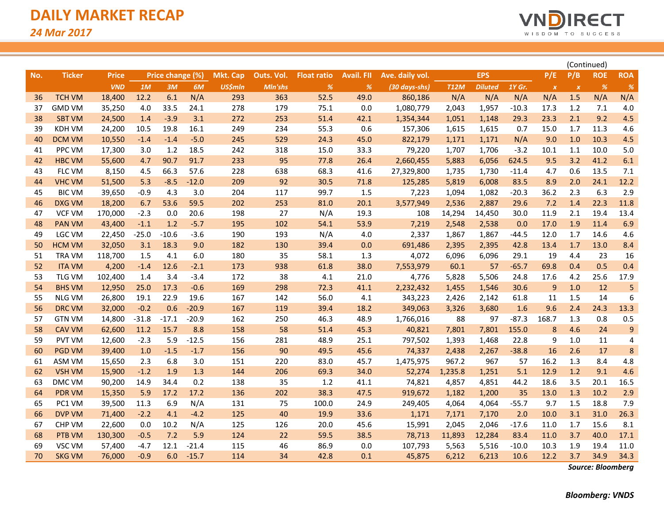

|     |               |              |         |                  |         |                 |            |                    |                   |                 |             |                |         |                           |                           |            |                |  | (Continued) |  |
|-----|---------------|--------------|---------|------------------|---------|-----------------|------------|--------------------|-------------------|-----------------|-------------|----------------|---------|---------------------------|---------------------------|------------|----------------|--|-------------|--|
| No. | <b>Ticker</b> | <b>Price</b> |         | Price change (%) |         | <b>Mkt. Cap</b> | Outs. Vol. | <b>Float ratio</b> | <b>Avail. FII</b> | Ave. daily vol. |             | <b>EPS</b>     |         | P/E                       | P/B                       | <b>ROE</b> | <b>ROA</b>     |  |             |  |
|     |               | <b>VND</b>   | 1M      | 3M               | 6M      | <b>US\$mln</b>  | Mln'shs    | %                  | %                 | (30 days-shs)   | <b>T12M</b> | <b>Diluted</b> | 1Y Gr.  | $\boldsymbol{\mathsf{x}}$ | $\boldsymbol{\mathsf{x}}$ | $\%$       | %              |  |             |  |
| 36  | <b>TCH VM</b> | 18,400       | 12.2    | 6.1              | N/A     | 293             | 363        | 52.5               | 49.0              | 860,186         | N/A         | N/A            | N/A     | N/A                       | 1.5                       | N/A        | N/A            |  |             |  |
| 37  | <b>GMD VM</b> | 35,250       | 4.0     | 33.5             | 24.1    | 278             | 179        | 75.1               | 0.0               | 1,080,779       | 2,043       | 1,957          | $-10.3$ | 17.3                      | 1.2                       | 7.1        | 4.0            |  |             |  |
| 38  | <b>SBT VM</b> | 24,500       | 1.4     | $-3.9$           | 3.1     | 272             | 253        | 51.4               | 42.1              | 1,354,344       | 1,051       | 1,148          | 29.3    | 23.3                      | 2.1                       | 9.2        | 4.5            |  |             |  |
| 39  | <b>KDH VM</b> | 24,200       | 10.5    | 19.8             | 16.1    | 249             | 234        | 55.3               | 0.6               | 157,306         | 1,615       | 1,615          | 0.7     | 15.0                      | 1.7                       | 11.3       | 4.6            |  |             |  |
| 40  | <b>DCM VM</b> | 10,550       | $-1.4$  | $-1.4$           | $-5.0$  | 245             | 529        | 24.3               | 45.0              | 822,179         | 1,171       | 1,171          | N/A     | 9.0                       | 1.0                       | 10.3       | 4.5            |  |             |  |
| 41  | <b>PPC VM</b> | 17,300       | 3.0     | 1.2              | 18.5    | 242             | 318        | 15.0               | 33.3              | 79,220          | 1,707       | 1,706          | $-3.2$  | 10.1                      | 1.1                       | 10.0       | 5.0            |  |             |  |
| 42  | <b>HBC VM</b> | 55,600       | 4.7     | 90.7             | 91.7    | 233             | 95         | 77.8               | 26.4              | 2,660,455       | 5,883       | 6,056          | 624.5   | 9.5                       | 3.2                       | 41.2       | 6.1            |  |             |  |
| 43  | <b>FLC VM</b> | 8,150        | 4.5     | 66.3             | 57.6    | 228             | 638        | 68.3               | 41.6              | 27,329,800      | 1,735       | 1,730          | $-11.4$ | 4.7                       | 0.6                       | 13.5       | 7.1            |  |             |  |
| 44  | <b>VHC VM</b> | 51,500       | 5.3     | $-8.5$           | $-12.0$ | 209             | 92         | 30.5               | 71.8              | 125,285         | 5,819       | 6,008          | 83.5    | 8.9                       | 2.0                       | 24.1       | 12.2           |  |             |  |
| 45  | <b>BIC VM</b> | 39,650       | $-0.9$  | 4.3              | 3.0     | 204             | 117        | 99.7               | 1.5               | 7,223           | 1,094       | 1,082          | $-20.3$ | 36.2                      | 2.3                       | 6.3        | 2.9            |  |             |  |
| 46  | DXG VM        | 18,200       | 6.7     | 53.6             | 59.5    | 202             | 253        | 81.0               | 20.1              | 3,577,949       | 2,536       | 2,887          | 29.6    | 7.2                       | 1.4                       | 22.3       | 11.8           |  |             |  |
| 47  | <b>VCF VM</b> | 170,000      | $-2.3$  | 0.0              | 20.6    | 198             | 27         | N/A                | 19.3              | 108             | 14,294      | 14,450         | 30.0    | 11.9                      | 2.1                       | 19.4       | 13.4           |  |             |  |
| 48  | <b>PAN VM</b> | 43,400       | $-1.1$  | 1.2              | $-5.7$  | 195             | 102        | 54.1               | 53.9              | 7,219           | 2,548       | 2,538          | 0.0     | 17.0                      | 1.9                       | 11.4       | 6.9            |  |             |  |
| 49  | <b>LGC VM</b> | 22,450       | $-25.0$ | $-10.6$          | $-3.6$  | 190             | 193        | N/A                | 4.0               | 2,337           | 1,867       | 1,867          | -44.5   | 12.0                      | 1.7                       | 14.6       | 4.6            |  |             |  |
| 50  | <b>HCM VM</b> | 32,050       | 3.1     | 18.3             | 9.0     | 182             | 130        | 39.4               | 0.0               | 691,486         | 2,395       | 2,395          | 42.8    | 13.4                      | 1.7                       | 13.0       | 8.4            |  |             |  |
| 51  | <b>TRA VM</b> | 118,700      | 1.5     | 4.1              | 6.0     | 180             | 35         | 58.1               | 1.3               | 4,072           | 6,096       | 6,096          | 29.1    | 19                        | 4.4                       | 23         | 16             |  |             |  |
| 52  | <b>ITA VM</b> | 4,200        | $-1.4$  | 12.6             | $-2.1$  | 173             | 938        | 61.8               | 38.0              | 7,553,979       | 60.1        | 57             | $-65.7$ | 69.8                      | 0.4                       | 0.5        | 0.4            |  |             |  |
| 53  | TLG VM        | 102,400      | 1.4     | 3.4              | $-3.4$  | 172             | 38         | 4.1                | 21.0              | 4,776           | 5,828       | 5,506          | 24.8    | 17.6                      | 4.2                       | 25.6       | 17.9           |  |             |  |
| 54  | <b>BHS VM</b> | 12,950       | 25.0    | 17.3             | $-0.6$  | 169             | 298        | 72.3               | 41.1              | 2,232,432       | 1,455       | 1,546          | 30.6    | $\overline{9}$            | 1.0                       | 12         | 5              |  |             |  |
| 55  | <b>NLG VM</b> | 26,800       | 19.1    | 22.9             | 19.6    | 167             | 142        | 56.0               | 4.1               | 343,223         | 2,426       | 2,142          | 61.8    | 11                        | 1.5                       | 14         | 6              |  |             |  |
| 56  | <b>DRC VM</b> | 32,000       | $-0.2$  | 0.6              | $-20.9$ | 167             | 119        | 39.4               | 18.2              | 349,063         | 3,326       | 3,680          | 1.6     | 9.6                       | 2.4                       | 24.3       | 13.3           |  |             |  |
| 57  | <b>GTN VM</b> | 14,800       | $-31.8$ | $-17.1$          | $-20.9$ | 162             | 250        | 46.3               | 48.9              | 1,766,016       | 88          | 97             | $-87.3$ | 168.7                     | 1.3                       | 0.8        | 0.5            |  |             |  |
| 58  | <b>CAV VM</b> | 62,600       | 11.2    | 15.7             | 8.8     | 158             | 58         | 51.4               | 45.3              | 40,821          | 7,801       | 7,801          | 155.0   | 8                         | 4.6                       | 24         | 9              |  |             |  |
| 59  | <b>PVT VM</b> | 12,600       | $-2.3$  | 5.9              | $-12.5$ | 156             | 281        | 48.9               | 25.1              | 797,502         | 1,393       | 1,468          | 22.8    | 9                         | 1.0                       | 11         | $\overline{4}$ |  |             |  |
| 60  | <b>PGD VM</b> | 39,400       | 1.0     | $-1.5$           | $-1.7$  | 156             | 90         | 49.5               | 45.6              | 74,337          | 2,438       | 2,267          | $-38.8$ | 16                        | 2.6                       | 17         | 8              |  |             |  |
| 61  | ASM VM        | 15,650       | 2.3     | 6.8              | 3.0     | 151             | 220        | 83.0               | 45.7              | 1,475,975       | 967.2       | 967            | 57      | 16.2                      | 1.3                       | 8.4        | 4.8            |  |             |  |
| 62  | <b>VSH VM</b> | 15,900       | $-1.2$  | 1.9              | 1.3     | 144             | 206        | 69.3               | 34.0              | 52,274          | 1,235.8     | 1,251          | 5.1     | 12.9                      | 1.2                       | 9.1        | 4.6            |  |             |  |
| 63  | DMC VM        | 90,200       | 14.9    | 34.4             | 0.2     | 138             | 35         | 1.2                | 41.1              | 74,821          | 4,857       | 4,851          | 44.2    | 18.6                      | 3.5                       | 20.1       | 16.5           |  |             |  |
| 64  | <b>PDR VM</b> | 15,350       | 5.9     | 17.2             | 17.2    | 136             | 202        | 38.3               | 47.5              | 919,672         | 1,182       | 1,200          | 35      | 13.0                      | 1.3                       | 10.2       | 2.9            |  |             |  |
| 65  | PC1 VM        | 39,500       | 11.3    | 6.9              | N/A     | 131             | 75         | 100.0              | 24.9              | 249,405         | 4,064       | 4,064          | $-55.7$ | 9.7                       | 1.5                       | 18.8       | 7.9            |  |             |  |
| 66  | <b>DVP VM</b> | 71,400       | $-2.2$  | 4.1              | $-4.2$  | 125             | 40         | 19.9               | 33.6              | 1,171           | 7,171       | 7,170          | 2.0     | 10.0                      | 3.1                       | 31.0       | 26.3           |  |             |  |
| 67  | <b>CHP VM</b> | 22,600       | 0.0     | 10.2             | N/A     | 125             | 126        | 20.0               | 45.6              | 15,991          | 2,045       | 2,046          | $-17.6$ | 11.0                      | 1.7                       | 15.6       | 8.1            |  |             |  |
| 68  | <b>PTB VM</b> | 130,300      | $-0.5$  | 7.2              | 5.9     | 124             | 22         | 59.5               | 38.5              | 78,713          | 11,893      | 12,284         | 83.4    | 11.0                      | 3.7                       | 40.0       | 17.1           |  |             |  |
| 69  | VSC VM        | 57,400       | $-4.7$  | 12.1             | $-21.4$ | 115             | 46         | 86.9               | 0.0               | 107,793         | 5,563       | 5,516          | $-10.0$ | 10.3                      | 1.9                       | 19.4       | 11.0           |  |             |  |
| 70  | <b>SKG VM</b> | 76,000       | $-0.9$  | 6.0              | $-15.7$ | 114             | 34         | 42.8               | 0.1               | 45,875          | 6,212       | 6,213          | 10.6    | 12.2                      | 3.7                       | 34.9       | 34.3           |  |             |  |

*Source: Bloomberg*